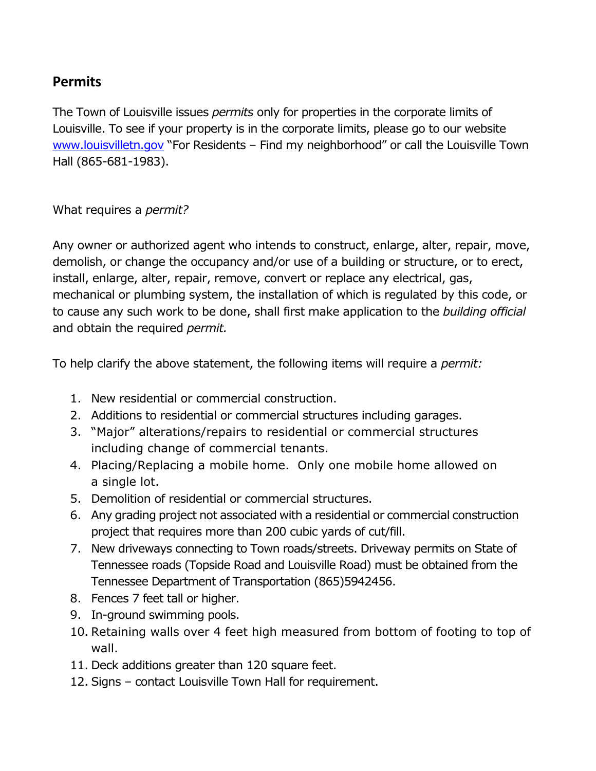## **Permits**

The Town of Louisville issues *permits* only for properties in the corporate limits of Louisville. To see if your property is in the corporate limits, please go to our website [www.louisvilletn.gov](http://www.louisvilletn.gov/) "For Residents – Find my neighborhood" or call the Louisville Town Hall (865-681-1983).

What requires a *permit?*

Any owner or authorized agent who intends to construct, enlarge, alter, repair, move, demolish, or change the occupancy and/or use of a building or structure, or to erect, install, enlarge, alter, repair, remove, convert or replace any electrical, gas, mechanical or plumbing system, the installation of which is regulated by this code, or to cause any such work to be done, shall first make application to the *building official*  and obtain the required *permit.*

To help clarify the above statement, the following items will require a *permit:*

- 1. New residential or commercial construction.
- 2. Additions to residential or commercial structures including garages.
- 3. "Major" alterations/repairs to residential or commercial structures including change of commercial tenants.
- 4. Placing/Replacing a mobile home. Only one mobile home allowed on a single lot.
- 5. Demolition of residential or commercial structures.
- 6. Any grading project not associated with a residential or commercial construction project that requires more than 200 cubic yards of cut/fill.
- 7. New driveways connecting to Town roads/streets. Driveway permits on State of Tennessee roads (Topside Road and Louisville Road) must be obtained from the Tennessee Department of Transportation (865)5942456.
- 8. Fences 7 feet tall or higher.
- 9. In-ground swimming pools.
- 10. Retaining walls over 4 feet high measured from bottom of footing to top of wall.
- 11. Deck additions greater than 120 square feet.
- 12. Signs contact Louisville Town Hall for requirement.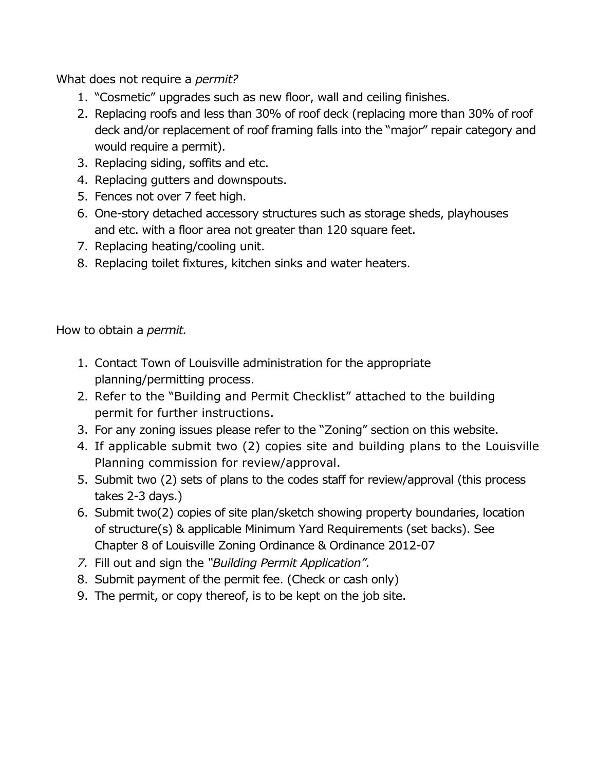What does not require a *permit?*

- 1. "Cosmetic" upgrades such as new floor, wall and ceiling finishes.
- 2. Replacing roofs and less than 30% of roof deck (replacing more than 30% of roof deck and/or replacement of roof framing falls into the "major" repair category and would require a permit).
- 3. Replacing siding, soffits and etc.
- 4. Replacing gutters and downspouts.
- 5. Fences not over 7 feet high.
- 6. One-story detached accessory structures such as storage sheds, playhouses and etc. with a floor area not greater than 120 square feet.
- 7. Replacing heating/cooling unit.
- 8. Replacing toilet fixtures, kitchen sinks and water heaters.

How to obtain a *permit.*

- 1. Contact Town of Louisville administration for the appropriate planning/permitting process.
- 2. Refer to the "Building and Permit Checklist" attached to the building permit for further instructions.
- 3. For any zoning issues please refer to the "Zoning" section on this website.
- 4. If applicable submit two (2) copies site and building plans to the Louisville Planning commission for review/approval.
- 5. Submit two (2) sets of plans to the codes staff for review/approval (this process takes 2-3 days.)
- 6. Submit two(2) copies of site plan/sketch showing property boundaries, location of structure(s) & applicable Minimum Yard Requirements (set backs). See Chapter 8 of Louisville Zoning Ordinance & Ordinance 2012-07
- *7.* Fill out and sign the *"Building Permit Application".*
- 8. Submit payment of the permit fee. (Check or cash only)
- 9. The permit, or copy thereof, is to be kept on the job site.